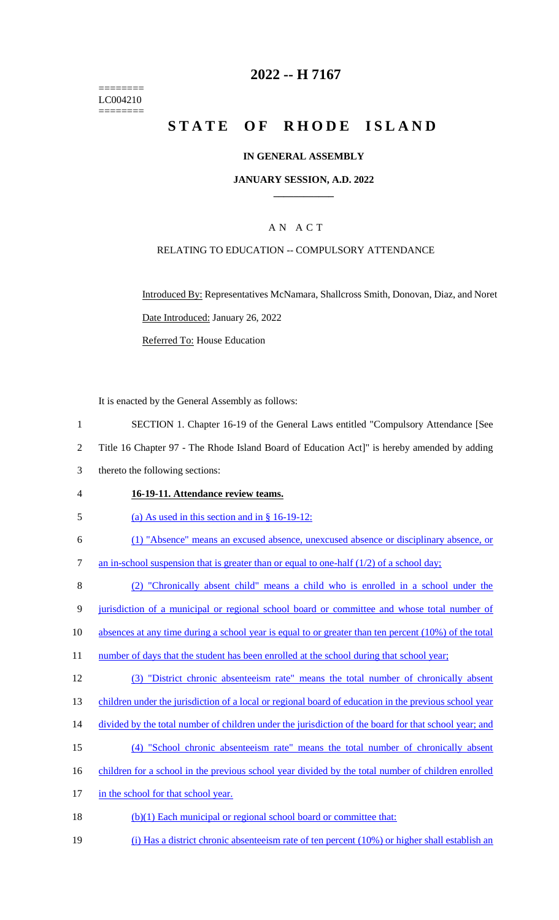======== LC004210 ========

## **2022 -- H 7167**

# **STATE OF RHODE ISLAND**

### **IN GENERAL ASSEMBLY**

### **JANUARY SESSION, A.D. 2022 \_\_\_\_\_\_\_\_\_\_\_\_**

## A N A C T

### RELATING TO EDUCATION -- COMPULSORY ATTENDANCE

Introduced By: Representatives McNamara, Shallcross Smith, Donovan, Diaz, and Noret Date Introduced: January 26, 2022 Referred To: House Education

It is enacted by the General Assembly as follows:

- 1 SECTION 1. Chapter 16-19 of the General Laws entitled "Compulsory Attendance [See
- 2 Title 16 Chapter 97 The Rhode Island Board of Education Act]" is hereby amended by adding
- 3 thereto the following sections:
- 4 **16-19-11. Attendance review teams.**
- 5 (a) As used in this section and in § 16-19-12:
- 6 (1) "Absence" means an excused absence, unexcused absence or disciplinary absence, or
- 7 an in-school suspension that is greater than or equal to one-half (1/2) of a school day;
- 8 (2) "Chronically absent child" means a child who is enrolled in a school under the
- 9 jurisdiction of a municipal or regional school board or committee and whose total number of
- 10 absences at any time during a school year is equal to or greater than ten percent (10%) of the total
- 11 number of days that the student has been enrolled at the school during that school year;
- 12 (3) "District chronic absenteeism rate" means the total number of chronically absent
- 13 children under the jurisdiction of a local or regional board of education in the previous school year
- 14 divided by the total number of children under the jurisdiction of the board for that school year; and
- 15 (4) "School chronic absenteeism rate" means the total number of chronically absent
- 16 children for a school in the previous school year divided by the total number of children enrolled
- 17 in the school for that school year.
- 18 (b)(1) Each municipal or regional school board or committee that:
- 19 (i) Has a district chronic absenteeism rate of ten percent (10%) or higher shall establish an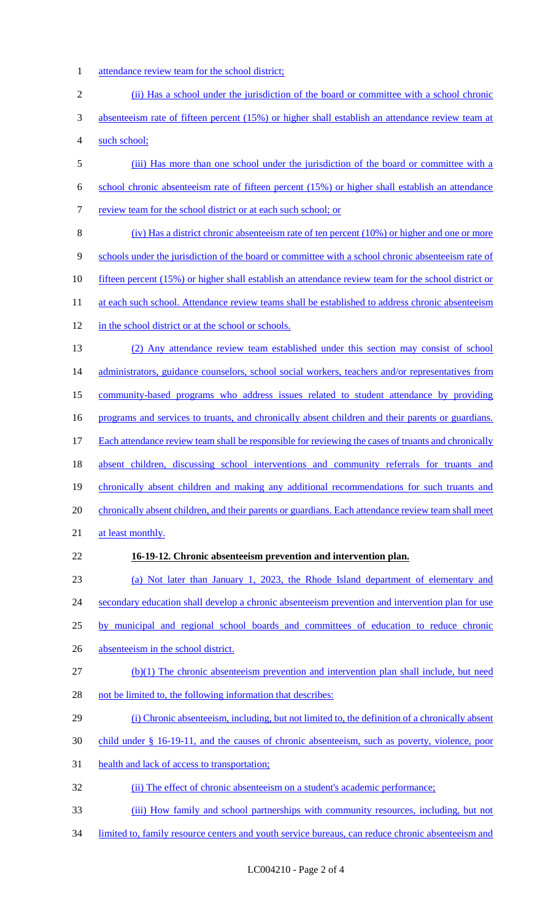- 1 attendance review team for the school district;
- 2 (ii) Has a school under the jurisdiction of the board or committee with a school chronic 3 absenteeism rate of fifteen percent (15%) or higher shall establish an attendance review team at 4 such school; 5 (iii) Has more than one school under the jurisdiction of the board or committee with a 6 school chronic absenteeism rate of fifteen percent (15%) or higher shall establish an attendance 7 review team for the school district or at each such school; or 8 (iv) Has a district chronic absenteeism rate of ten percent (10%) or higher and one or more 9 schools under the jurisdiction of the board or committee with a school chronic absenteeism rate of 10 fifteen percent (15%) or higher shall establish an attendance review team for the school district or 11 at each such school. Attendance review teams shall be established to address chronic absenteeism 12 in the school district or at the school or schools. 13 (2) Any attendance review team established under this section may consist of school 14 administrators, guidance counselors, school social workers, teachers and/or representatives from 15 community-based programs who address issues related to student attendance by providing 16 programs and services to truants, and chronically absent children and their parents or guardians. 17 Each attendance review team shall be responsible for reviewing the cases of truants and chronically 18 absent children, discussing school interventions and community referrals for truants and 19 chronically absent children and making any additional recommendations for such truants and 20 chronically absent children, and their parents or guardians. Each attendance review team shall meet 21 at least monthly. 22 **16-19-12. Chronic absenteeism prevention and intervention plan.**  23 (a) Not later than January 1, 2023, the Rhode Island department of elementary and 24 secondary education shall develop a chronic absenteeism prevention and intervention plan for use 25 by municipal and regional school boards and committees of education to reduce chronic 26 absenteeism in the school district. 27 (b)(1) The chronic absenteeism prevention and intervention plan shall include, but need 28 not be limited to, the following information that describes: 29 (i) Chronic absenteeism, including, but not limited to, the definition of a chronically absent 30 child under § 16-19-11, and the causes of chronic absenteeism, such as poverty, violence, poor 31 health and lack of access to transportation; 32 (ii) The effect of chronic absenteeism on a student's academic performance; 33 (iii) How family and school partnerships with community resources, including, but not 34 limited to, family resource centers and youth service bureaus, can reduce chronic absenteeism and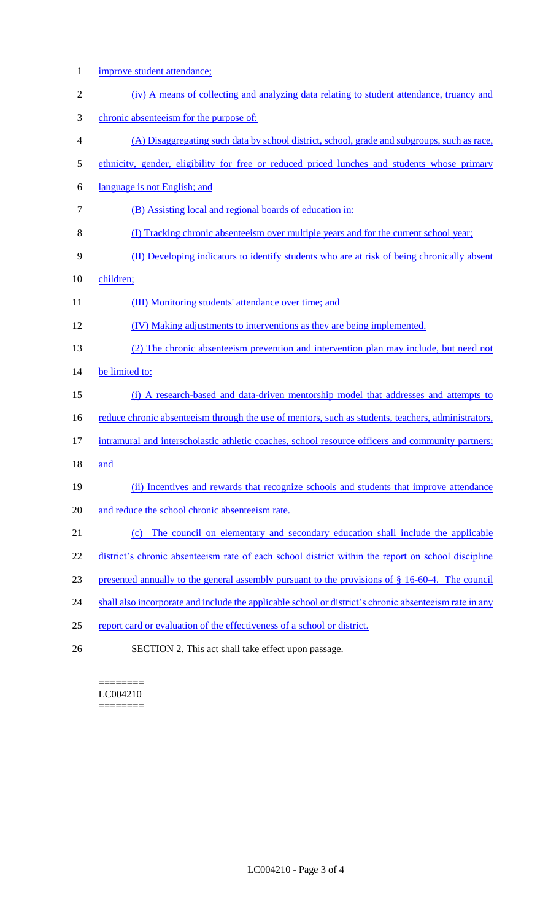| $\mathbf{1}$   | improve student attendance;                                                                            |
|----------------|--------------------------------------------------------------------------------------------------------|
| $\overline{2}$ | (iv) A means of collecting and analyzing data relating to student attendance, truancy and              |
| 3              | chronic absenteeism for the purpose of:                                                                |
| 4              | (A) Disaggregating such data by school district, school, grade and subgroups, such as race,            |
| 5              | ethnicity, gender, eligibility for free or reduced priced lunches and students whose primary           |
| 6              | language is not English; and                                                                           |
| 7              | (B) Assisting local and regional boards of education in:                                               |
| 8              | (I) Tracking chronic absenteeism over multiple years and for the current school year;                  |
| 9              | (II) Developing indicators to identify students who are at risk of being chronically absent            |
| 10             | children;                                                                                              |
| 11             | (III) Monitoring students' attendance over time; and                                                   |
| 12             | (IV) Making adjustments to interventions as they are being implemented.                                |
| 13             | (2) The chronic absenteeism prevention and intervention plan may include, but need not                 |
| 14             | be limited to:                                                                                         |
| 15             | (i) A research-based and data-driven mentorship model that addresses and attempts to                   |
| 16             | reduce chronic absenteeism through the use of mentors, such as students, teachers, administrators,     |
| 17             | intramural and interscholastic athletic coaches, school resource officers and community partners;      |
| 18             | and                                                                                                    |
| 19             | (ii) Incentives and rewards that recognize schools and students that improve attendance                |
| 20             | and reduce the school chronic absenteeism rate.                                                        |
| 21             | The council on elementary and secondary education shall include the applicable<br>(c)                  |
| 22             | district's chronic absenteeism rate of each school district within the report on school discipline     |
| 23             | presented annually to the general assembly pursuant to the provisions of $\S$ 16-60-4. The council     |
| 24             | shall also incorporate and include the applicable school or district's chronic absenteeism rate in any |
| 25             | report card or evaluation of the effectiveness of a school or district.                                |
| 26             | SECTION 2. This act shall take effect upon passage.                                                    |

#### ======== LC004210  $=$